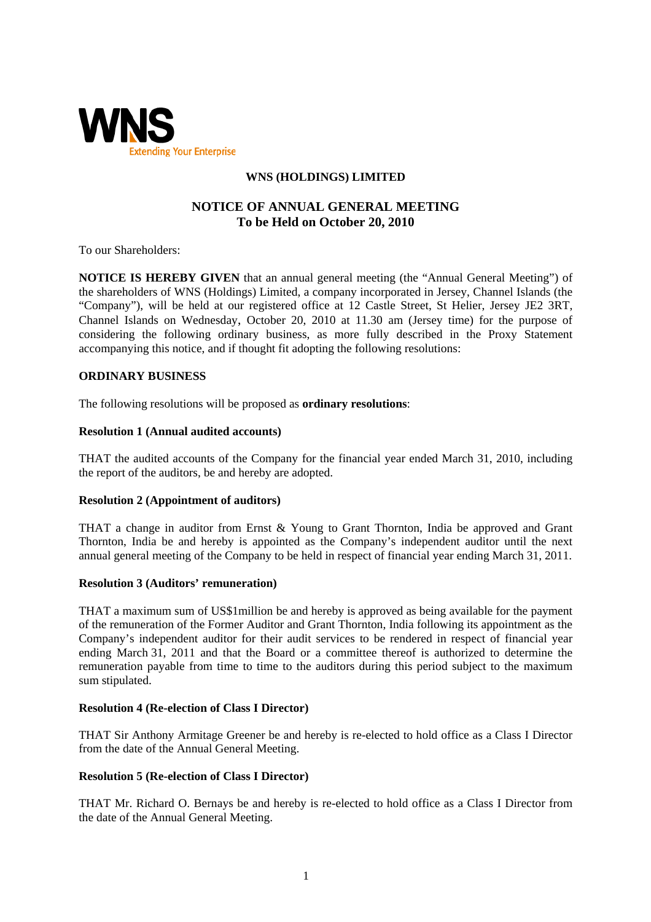

# **WNS (HOLDINGS) LIMITED**

# **NOTICE OF ANNUAL GENERAL MEETING To be Held on October 20, 2010**

To our Shareholders:

**NOTICE IS HEREBY GIVEN** that an annual general meeting (the "Annual General Meeting") of the shareholders of WNS (Holdings) Limited, a company incorporated in Jersey, Channel Islands (the "Company"), will be held at our registered office at 12 Castle Street, St Helier, Jersey JE2 3RT, Channel Islands on Wednesday, October 20, 2010 at 11.30 am (Jersey time) for the purpose of considering the following ordinary business, as more fully described in the Proxy Statement accompanying this notice, and if thought fit adopting the following resolutions:

## **ORDINARY BUSINESS**

The following resolutions will be proposed as **ordinary resolutions**:

## **Resolution 1 (Annual audited accounts)**

THAT the audited accounts of the Company for the financial year ended March 31, 2010, including the report of the auditors, be and hereby are adopted.

# **Resolution 2 (Appointment of auditors)**

THAT a change in auditor from Ernst & Young to Grant Thornton, India be approved and Grant Thornton, India be and hereby is appointed as the Company's independent auditor until the next annual general meeting of the Company to be held in respect of financial year ending March 31, 2011.

#### **Resolution 3 (Auditors' remuneration)**

THAT a maximum sum of US\$1million be and hereby is approved as being available for the payment of the remuneration of the Former Auditor and Grant Thornton, India following its appointment as the Company's independent auditor for their audit services to be rendered in respect of financial year ending March 31, 2011 and that the Board or a committee thereof is authorized to determine the remuneration payable from time to time to the auditors during this period subject to the maximum sum stipulated.

# **Resolution 4 (Re-election of Class I Director)**

THAT Sir Anthony Armitage Greener be and hereby is re-elected to hold office as a Class I Director from the date of the Annual General Meeting.

#### **Resolution 5 (Re-election of Class I Director)**

THAT Mr. Richard O. Bernays be and hereby is re-elected to hold office as a Class I Director from the date of the Annual General Meeting.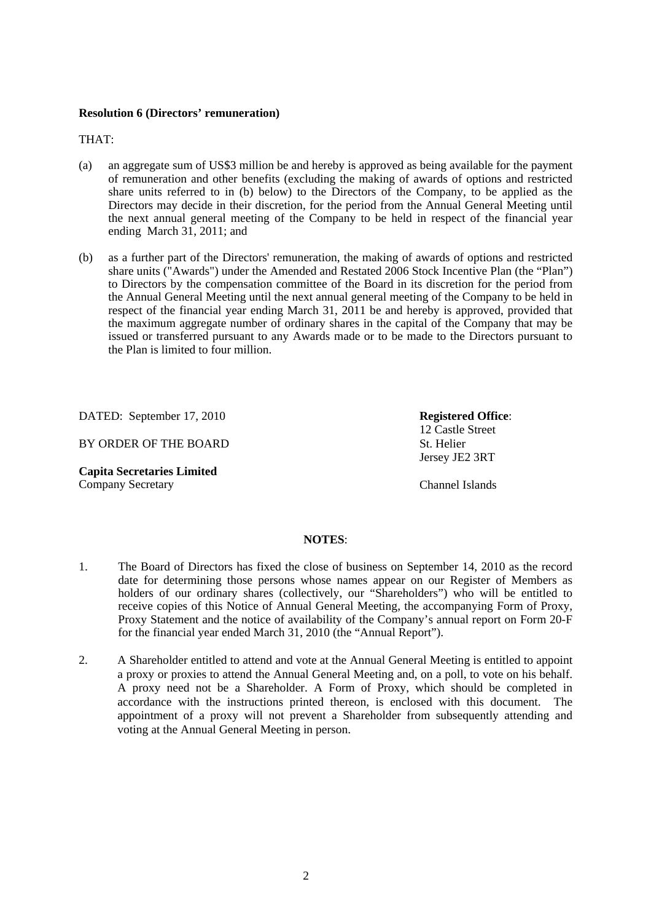## **Resolution 6 (Directors' remuneration)**

THAT:

- (a) an aggregate sum of US\$3 million be and hereby is approved as being available for the payment of remuneration and other benefits (excluding the making of awards of options and restricted share units referred to in (b) below) to the Directors of the Company, to be applied as the Directors may decide in their discretion, for the period from the Annual General Meeting until the next annual general meeting of the Company to be held in respect of the financial year ending March 31, 2011; and
- (b) as a further part of the Directors' remuneration, the making of awards of options and restricted share units ("Awards") under the Amended and Restated 2006 Stock Incentive Plan (the "Plan") to Directors by the compensation committee of the Board in its discretion for the period from the Annual General Meeting until the next annual general meeting of the Company to be held in respect of the financial year ending March 31, 2011 be and hereby is approved, provided that the maximum aggregate number of ordinary shares in the capital of the Company that may be issued or transferred pursuant to any Awards made or to be made to the Directors pursuant to the Plan is limited to four million.

DATED: September 17, 2010

BY ORDER OF THE BOARD

**Capita Secretaries Limited**  Company Secretary

**Registered Office**: 12 Castle Street St. Helier Jersey JE2 3RT

Channel Islands

# **NOTES**:

- 1. The Board of Directors has fixed the close of business on September 14, 2010 as the record date for determining those persons whose names appear on our Register of Members as holders of our ordinary shares (collectively, our "Shareholders") who will be entitled to receive copies of this Notice of Annual General Meeting, the accompanying Form of Proxy, Proxy Statement and the notice of availability of the Company's annual report on Form 20-F for the financial year ended March 31, 2010 (the "Annual Report").
- 2. A Shareholder entitled to attend and vote at the Annual General Meeting is entitled to appoint a proxy or proxies to attend the Annual General Meeting and, on a poll, to vote on his behalf. A proxy need not be a Shareholder. A Form of Proxy, which should be completed in accordance with the instructions printed thereon, is enclosed with this document. The appointment of a proxy will not prevent a Shareholder from subsequently attending and voting at the Annual General Meeting in person.